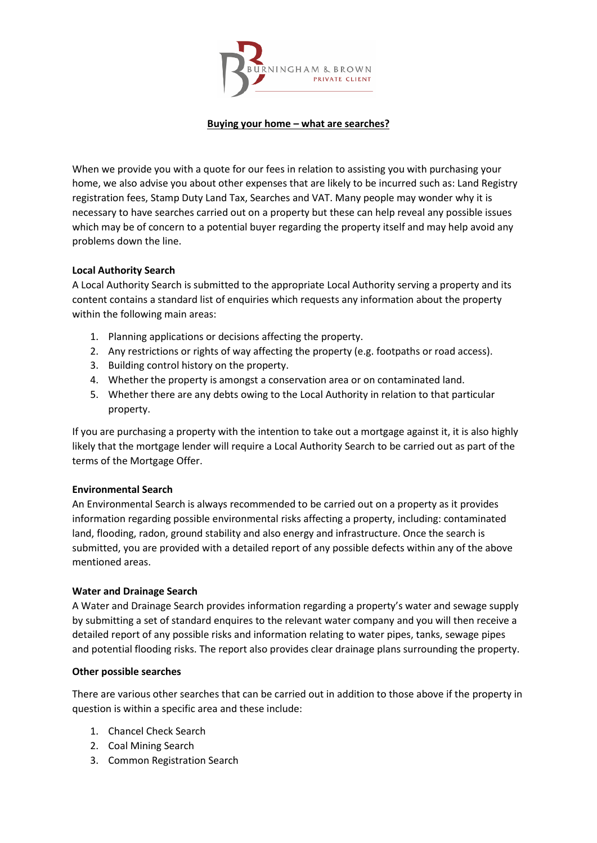

## **Buying your home – what are searches?**

When we provide you with a quote for our fees in relation to assisting you with purchasing your home, we also advise you about other expenses that are likely to be incurred such as: Land Registry registration fees, Stamp Duty Land Tax, Searches and VAT. Many people may wonder why it is necessary to have searches carried out on a property but these can help reveal any possible issues which may be of concern to a potential buyer regarding the property itself and may help avoid any problems down the line.

# **Local Authority Search**

A Local Authority Search is submitted to the appropriate Local Authority serving a property and its content contains a standard list of enquiries which requests any information about the property within the following main areas:

- 1. Planning applications or decisions affecting the property.
- 2. Any restrictions or rights of way affecting the property (e.g. footpaths or road access).
- 3. Building control history on the property.
- 4. Whether the property is amongst a conservation area or on contaminated land.
- 5. Whether there are any debts owing to the Local Authority in relation to that particular property.

If you are purchasing a property with the intention to take out a mortgage against it, it is also highly likely that the mortgage lender will require a Local Authority Search to be carried out as part of the terms of the Mortgage Offer.

## **Environmental Search**

An Environmental Search is always recommended to be carried out on a property as it provides information regarding possible environmental risks affecting a property, including: contaminated land, flooding, radon, ground stability and also energy and infrastructure. Once the search is submitted, you are provided with a detailed report of any possible defects within any of the above mentioned areas.

## **Water and Drainage Search**

A Water and Drainage Search provides information regarding a property's water and sewage supply by submitting a set of standard enquires to the relevant water company and you will then receive a detailed report of any possible risks and information relating to water pipes, tanks, sewage pipes and potential flooding risks. The report also provides clear drainage plans surrounding the property.

## **Other possible searches**

There are various other searches that can be carried out in addition to those above if the property in question is within a specific area and these include:

- 1. Chancel Check Search
- 2. Coal Mining Search
- 3. Common Registration Search